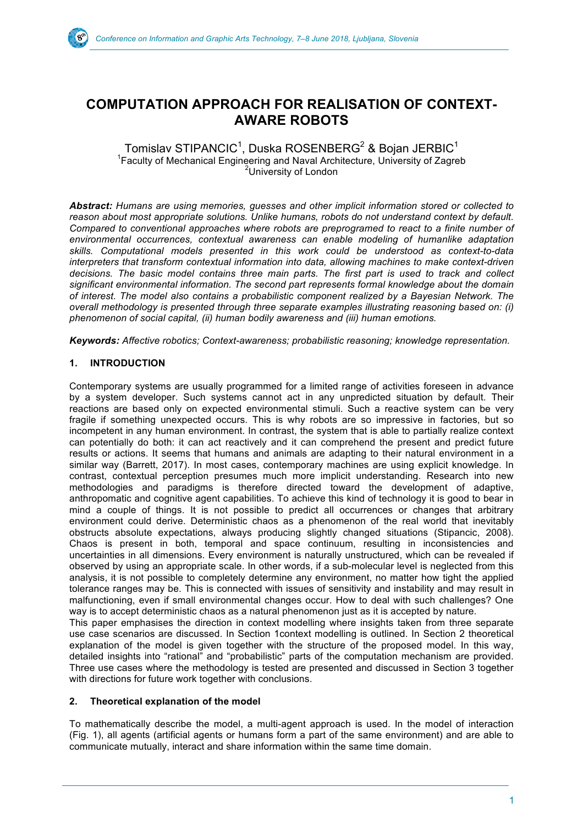

# **COMPUTATION APPROACH FOR REALISATION OF CONTEXT-AWARE ROBOTS**

Tomislav STIPANCIC $^{\rm 1}$ , Duska ROSENBERG $^{\rm 2}$  & Bojan JERBIC $^{\rm 1}$ <sup>1</sup> Faculty of Mechanical Engineering and Naval Architecture, University of Zagreb <sup>2</sup>University of London

*Abstract: Humans are using memories, guesses and other implicit information stored or collected to reason about most appropriate solutions. Unlike humans, robots do not understand context by default. Compared to conventional approaches where robots are preprogramed to react to a finite number of environmental occurrences, contextual awareness can enable modeling of humanlike adaptation skills. Computational models presented in this work could be understood as context-to-data interpreters that transform contextual information into data, allowing machines to make context-driven decisions. The basic model contains three main parts. The first part is used to track and collect significant environmental information. The second part represents formal knowledge about the domain of interest. The model also contains a probabilistic component realized by a Bayesian Network. The overall methodology is presented through three separate examples illustrating reasoning based on: (i) phenomenon of social capital, (ii) human bodily awareness and (iii) human emotions.*

*Keywords: Affective robotics; Context-awareness; probabilistic reasoning; knowledge representation.* 

# **1. INTRODUCTION**

Contemporary systems are usually programmed for a limited range of activities foreseen in advance by a system developer. Such systems cannot act in any unpredicted situation by default. Their reactions are based only on expected environmental stimuli. Such a reactive system can be very fragile if something unexpected occurs. This is why robots are so impressive in factories, but so incompetent in any human environment. In contrast, the system that is able to partially realize context can potentially do both: it can act reactively and it can comprehend the present and predict future results or actions. It seems that humans and animals are adapting to their natural environment in a similar way (Barrett, 2017). In most cases, contemporary machines are using explicit knowledge. In contrast, contextual perception presumes much more implicit understanding. Research into new methodologies and paradigms is therefore directed toward the development of adaptive, anthropomatic and cognitive agent capabilities. To achieve this kind of technology it is good to bear in mind a couple of things. It is not possible to predict all occurrences or changes that arbitrary environment could derive. Deterministic chaos as a phenomenon of the real world that inevitably obstructs absolute expectations, always producing slightly changed situations (Stipancic, 2008). Chaos is present in both, temporal and space continuum, resulting in inconsistencies and uncertainties in all dimensions. Every environment is naturally unstructured, which can be revealed if observed by using an appropriate scale. In other words, if a sub-molecular level is neglected from this analysis, it is not possible to completely determine any environment, no matter how tight the applied tolerance ranges may be. This is connected with issues of sensitivity and instability and may result in malfunctioning, even if small environmental changes occur. How to deal with such challenges? One way is to accept deterministic chaos as a natural phenomenon just as it is accepted by nature.

This paper emphasises the direction in context modelling where insights taken from three separate use case scenarios are discussed. In Section 1context modelling is outlined. In Section 2 theoretical explanation of the model is given together with the structure of the proposed model. In this way, detailed insights into "rational" and "probabilistic" parts of the computation mechanism are provided. Three use cases where the methodology is tested are presented and discussed in Section 3 together with directions for future work together with conclusions.

# **2. Theoretical explanation of the model**

To mathematically describe the model, a multi-agent approach is used. In the model of interaction (Fig. 1), all agents (artificial agents or humans form a part of the same environment) and are able to communicate mutually, interact and share information within the same time domain.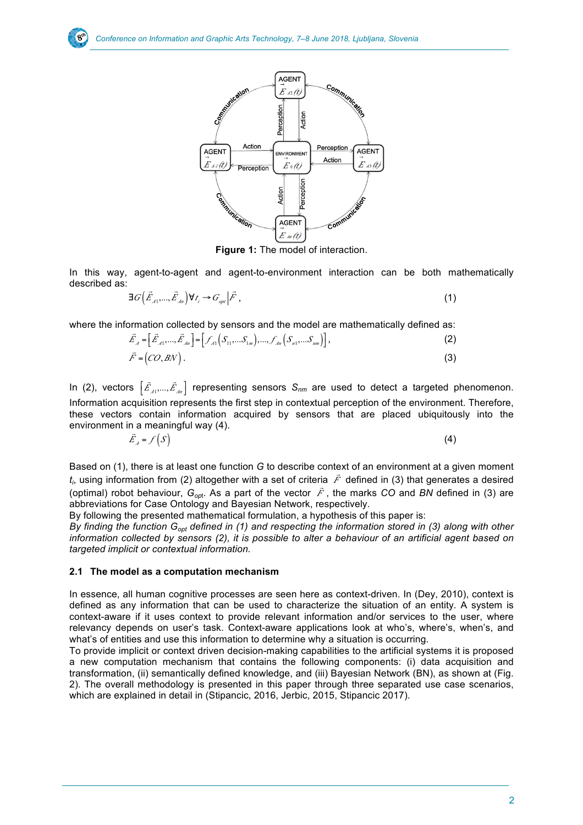

**Figure 1:** The model of interaction.

In this way, agent-to-agent and agent-to-environment interaction can be both mathematically described as:

$$
\exists G\left(\vec{E}_{A1},...,\vec{E}_{An}\right)\forall t_i \rightarrow G_{\text{opt}}\left|\vec{F}\right|,
$$
\n(1)

where the information collected by sensors and the model are mathematically defined as:<br>(2)

$$
\vec{E}_A = \left[\vec{E}_{A1},...,\vec{E}_{An}\right] = \left[\mathcal{J}_{A1}\left(S_{11},...S_{1m}\right),...,\mathcal{J}_{An}\left(S_{n1},...S_{nm}\right)\right],\tag{2}
$$

$$
\vec{F} = (CO, BN). \tag{3}
$$

In (2), vectors  $\left[\vec{E}_1,...,\vec{E}_m\right]$  representing sensors  $S_{nm}$  are used to detect a targeted phenomenon. Information acquisition represents the first step in contextual perception of the environment. Therefore, these vectors contain information acquired by sensors that are placed ubiquitously into the environment in a meaningful way (4).  $\left[ \vec{E}_{A1},...,\vec{E}_{An} \right]$ 

$$
\vec{E}_A = f(S) \tag{4}
$$

Based on (1), there is at least one function *G* to describe context of an environment at a given moment  $t_i$ , using information from (2) altogether with a set of criteria  $\vec{F}$  defined in (3) that generates a desired  $t_i$ (optimal) robot behaviour,  $G_{opt}$ . As a part of the vector  $\overrightarrow{F}$ , the marks *CO* and *BN* defined in (3) are abbreviations for Case Ontology and Bayesian Network, respectively. 'ia *F*<br>≐ .∟

By following the presented mathematical formulation, a hypothesis of this paper is:

*By finding the function G<sub>opt</sub> defined in (1) and respecting the information stored in (3) along with other information collected by sensors (2), it is possible to alter a behaviour of an artificial agent based on targeted implicit or contextual information.*

## **2.1 The model as a computation mechanism**

In essence, all human cognitive processes are seen here as context-driven. In (Dey, 2010), context is defined as any information that can be used to characterize the situation of an entity. A system is context-aware if it uses context to provide relevant information and/or services to the user, where relevancy depends on user's task. Context-aware applications look at who's, where's, when's, and what's of entities and use this information to determine why a situation is occurring.

To provide implicit or context driven decision-making capabilities to the artificial systems it is proposed a new computation mechanism that contains the following components: (i) data acquisition and transformation, (ii) semantically defined knowledge, and (iii) Bayesian Network (BN), as shown at (Fig. 2). The overall methodology is presented in this paper through three separated use case scenarios, which are explained in detail in (Stipancic, 2016, Jerbic, 2015, Stipancic 2017).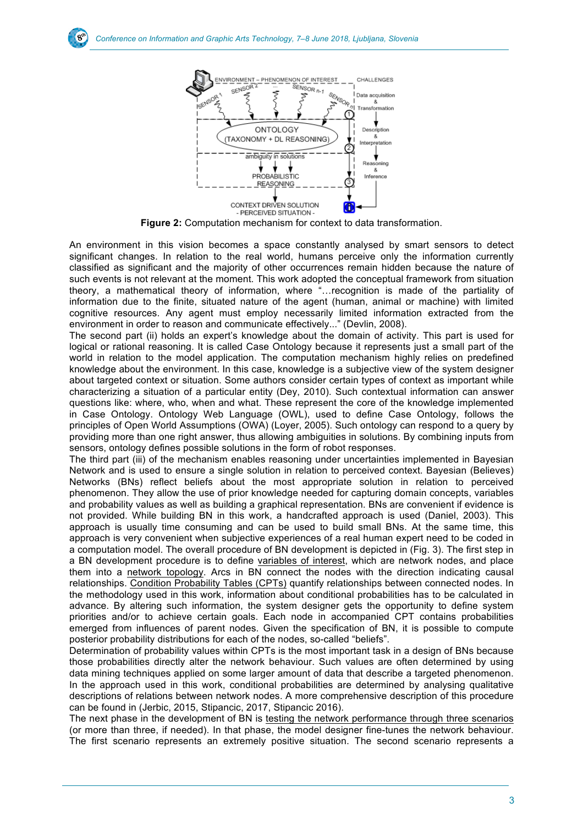

**Figure 2:** Computation mechanism for context to data transformation.

An environment in this vision becomes a space constantly analysed by smart sensors to detect significant changes. In relation to the real world, humans perceive only the information currently classified as significant and the majority of other occurrences remain hidden because the nature of such events is not relevant at the moment. This work adopted the conceptual framework from situation theory, a mathematical theory of information, where "…recognition is made of the partiality of information due to the finite, situated nature of the agent (human, animal or machine) with limited cognitive resources. Any agent must employ necessarily limited information extracted from the environment in order to reason and communicate effectively..." (Devlin, 2008).

The second part (ii) holds an expert's knowledge about the domain of activity. This part is used for logical or rational reasoning. It is called Case Ontology because it represents just a small part of the world in relation to the model application. The computation mechanism highly relies on predefined knowledge about the environment. In this case, knowledge is a subjective view of the system designer about targeted context or situation. Some authors consider certain types of context as important while characterizing a situation of a particular entity (Dey, 2010). Such contextual information can answer questions like: where, who, when and what. These represent the core of the knowledge implemented in Case Ontology. Ontology Web Language (OWL), used to define Case Ontology, follows the principles of Open World Assumptions (OWA) (Loyer, 2005). Such ontology can respond to a query by providing more than one right answer, thus allowing ambiguities in solutions. By combining inputs from sensors, ontology defines possible solutions in the form of robot responses.

The third part (iii) of the mechanism enables reasoning under uncertainties implemented in Bayesian Network and is used to ensure a single solution in relation to perceived context. Bayesian (Believes) Networks (BNs) reflect beliefs about the most appropriate solution in relation to perceived phenomenon. They allow the use of prior knowledge needed for capturing domain concepts, variables and probability values as well as building a graphical representation. BNs are convenient if evidence is not provided. While building BN in this work, a handcrafted approach is used (Daniel, 2003). This approach is usually time consuming and can be used to build small BNs. At the same time, this approach is very convenient when subjective experiences of a real human expert need to be coded in a computation model. The overall procedure of BN development is depicted in (Fig. 3). The first step in a BN development procedure is to define variables of interest, which are network nodes, and place them into a network topology. Arcs in BN connect the nodes with the direction indicating causal relationships. Condition Probability Tables (CPTs) quantify relationships between connected nodes. In the methodology used in this work, information about conditional probabilities has to be calculated in advance. By altering such information, the system designer gets the opportunity to define system priorities and/or to achieve certain goals. Each node in accompanied CPT contains probabilities emerged from influences of parent nodes. Given the specification of BN, it is possible to compute posterior probability distributions for each of the nodes, so-called "beliefs".

Determination of probability values within CPTs is the most important task in a design of BNs because those probabilities directly alter the network behaviour. Such values are often determined by using data mining techniques applied on some larger amount of data that describe a targeted phenomenon. In the approach used in this work, conditional probabilities are determined by analysing qualitative descriptions of relations between network nodes. A more comprehensive description of this procedure can be found in (Jerbic, 2015, Stipancic, 2017, Stipancic 2016).

The next phase in the development of BN is testing the network performance through three scenarios (or more than three, if needed). In that phase, the model designer fine-tunes the network behaviour. The first scenario represents an extremely positive situation. The second scenario represents a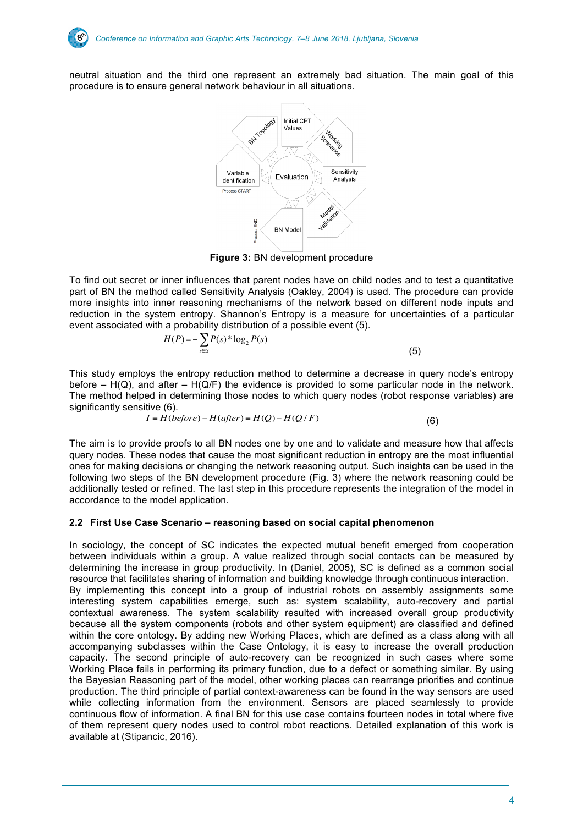neutral situation and the third one represent an extremely bad situation. The main goal of this procedure is to ensure general network behaviour in all situations.



**Figure 3:** BN development procedure

To find out secret or inner influences that parent nodes have on child nodes and to test a quantitative part of BN the method called Sensitivity Analysis (Oakley, 2004) is used. The procedure can provide more insights into inner reasoning mechanisms of the network based on different node inputs and reduction in the system entropy. Shannon's Entropy is a measure for uncertainties of a particular event associated with a probability distribution of a possible event (5).

$$
H(P) = -\sum_{s \in S} P(s)^* \log_2 P(s)
$$
\n(5)

This study employs the entropy reduction method to determine a decrease in query node's entropy before –  $H(Q)$ , and after –  $H(Q/F)$  the evidence is provided to some particular node in the network. The method helped in determining those nodes to which query nodes (robot response variables) are significantly sensitive (6).

$$
I = H(before) - H(after) = H(Q) - H(Q/F)
$$
\n(6)

The aim is to provide proofs to all BN nodes one by one and to validate and measure how that affects query nodes. These nodes that cause the most significant reduction in entropy are the most influential ones for making decisions or changing the network reasoning output. Such insights can be used in the following two steps of the BN development procedure (Fig. 3) where the network reasoning could be additionally tested or refined. The last step in this procedure represents the integration of the model in accordance to the model application.

# **2.2 First Use Case Scenario – reasoning based on social capital phenomenon**

In sociology, the concept of SC indicates the expected mutual benefit emerged from cooperation between individuals within a group. A value realized through social contacts can be measured by determining the increase in group productivity. In (Daniel, 2005), SC is defined as a common social resource that facilitates sharing of information and building knowledge through continuous interaction. By implementing this concept into a group of industrial robots on assembly assignments some interesting system capabilities emerge, such as: system scalability, auto-recovery and partial contextual awareness. The system scalability resulted with increased overall group productivity because all the system components (robots and other system equipment) are classified and defined within the core ontology. By adding new Working Places, which are defined as a class along with all accompanying subclasses within the Case Ontology, it is easy to increase the overall production capacity. The second principle of auto-recovery can be recognized in such cases where some Working Place fails in performing its primary function, due to a defect or something similar. By using the Bayesian Reasoning part of the model, other working places can rearrange priorities and continue production. The third principle of partial context-awareness can be found in the way sensors are used while collecting information from the environment. Sensors are placed seamlessly to provide continuous flow of information. A final BN for this use case contains fourteen nodes in total where five of them represent query nodes used to control robot reactions. Detailed explanation of this work is available at (Stipancic, 2016).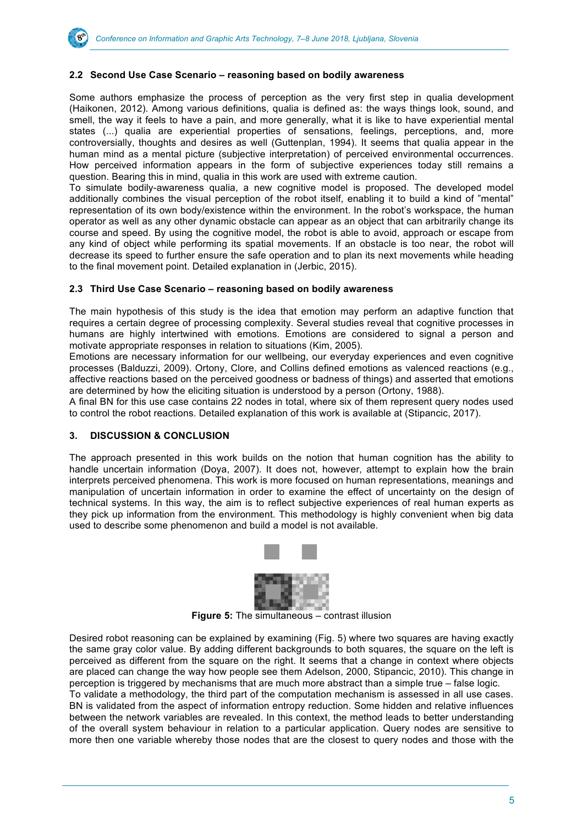

#### **2.2 Second Use Case Scenario – reasoning based on bodily awareness**

Some authors emphasize the process of perception as the very first step in qualia development (Haikonen, 2012). Among various definitions, qualia is defined as: the ways things look, sound, and smell, the way it feels to have a pain, and more generally, what it is like to have experiential mental states (...) qualia are experiential properties of sensations, feelings, perceptions, and, more controversially, thoughts and desires as well (Guttenplan, 1994). It seems that qualia appear in the human mind as a mental picture (subjective interpretation) of perceived environmental occurrences. How perceived information appears in the form of subjective experiences today still remains a question. Bearing this in mind, qualia in this work are used with extreme caution.

To simulate bodily-awareness qualia, a new cognitive model is proposed. The developed model additionally combines the visual perception of the robot itself, enabling it to build a kind of "mental" representation of its own body/existence within the environment. In the robot's workspace, the human operator as well as any other dynamic obstacle can appear as an object that can arbitrarily change its course and speed. By using the cognitive model, the robot is able to avoid, approach or escape from any kind of object while performing its spatial movements. If an obstacle is too near, the robot will decrease its speed to further ensure the safe operation and to plan its next movements while heading to the final movement point. Detailed explanation in (Jerbic, 2015).

#### **2.3 Third Use Case Scenario – reasoning based on bodily awareness**

The main hypothesis of this study is the idea that emotion may perform an adaptive function that requires a certain degree of processing complexity. Several studies reveal that cognitive processes in humans are highly intertwined with emotions. Emotions are considered to signal a person and motivate appropriate responses in relation to situations (Kim, 2005).

Emotions are necessary information for our wellbeing, our everyday experiences and even cognitive processes (Balduzzi, 2009). Ortony, Clore, and Collins defined emotions as valenced reactions (e.g., affective reactions based on the perceived goodness or badness of things) and asserted that emotions are determined by how the eliciting situation is understood by a person (Ortony, 1988).

A final BN for this use case contains 22 nodes in total, where six of them represent query nodes used to control the robot reactions. Detailed explanation of this work is available at (Stipancic, 2017).

# **3. DISCUSSION & CONCLUSION**

The approach presented in this work builds on the notion that human cognition has the ability to handle uncertain information (Doya, 2007). It does not, however, attempt to explain how the brain interprets perceived phenomena. This work is more focused on human representations, meanings and manipulation of uncertain information in order to examine the effect of uncertainty on the design of technical systems. In this way, the aim is to reflect subjective experiences of real human experts as they pick up information from the environment. This methodology is highly convenient when big data used to describe some phenomenon and build a model is not available.



**Figure 5:** The simultaneous – contrast illusion

Desired robot reasoning can be explained by examining (Fig. 5) where two squares are having exactly the same gray color value. By adding different backgrounds to both squares, the square on the left is perceived as different from the square on the right. It seems that a change in context where objects are placed can change the way how people see them Adelson, 2000, Stipancic, 2010). This change in perception is triggered by mechanisms that are much more abstract than a simple true – false logic.

To validate a methodology, the third part of the computation mechanism is assessed in all use cases. BN is validated from the aspect of information entropy reduction. Some hidden and relative influences between the network variables are revealed. In this context, the method leads to better understanding of the overall system behaviour in relation to a particular application. Query nodes are sensitive to more then one variable whereby those nodes that are the closest to query nodes and those with the